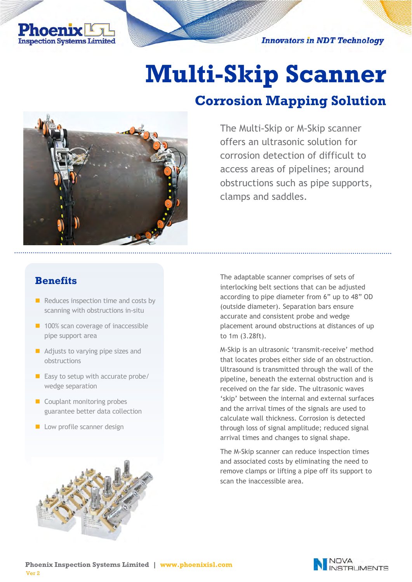

**Innovators in NDT Technology** 

# **Multi-Skip Scanner**

## **Corrosion Mapping Solution**



The Multi-Skip or M-Skip scanner offers an ultrasonic solution for corrosion detection of difficult to access areas of pipelines; around obstructions such as pipe supports, clamps and saddles.

## **Benefits**

- $\blacksquare$  Reduces inspection time and costs by scanning with obstructions in-situ
- 100% scan coverage of inaccessible pipe support area
- Adjusts to varying pipe sizes and obstructions
- $\blacksquare$  Easy to setup with accurate probe/ wedge separation
- Couplant monitoring probes guarantee better data collection
- Low profile scanner design



The adaptable scanner comprises of sets of interlocking belt sections that can be adjusted according to pipe diameter from 6" up to 48" OD (outside diameter). Separation bars ensure accurate and consistent probe and wedge placement around obstructions at distances of up to 1m (3.28ft).

M-Skip is an ultrasonic 'transmit-receive' method that locates probes either side of an obstruction. Ultrasound is transmitted through the wall of the pipeline, beneath the external obstruction and is received on the far side. The ultrasonic waves 'skip' between the internal and external surfaces and the arrival times of the signals are used to calculate wall thickness. Corrosion is detected through loss of signal amplitude; reduced signal arrival times and changes to signal shape.

The M-Skip scanner can reduce inspection times and associated costs by eliminating the need to remove clamps or lifting a pipe off its support to scan the inaccessible area.